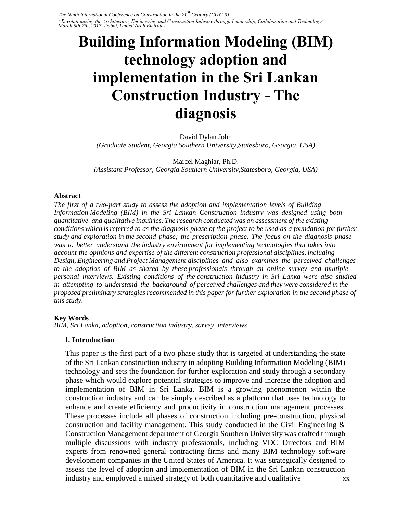*The Ninth International Conference on Construction in the 21st Century (CITC-9) "Revolutionizing the Architecture, Engineering and Construction Industry through Leadership, Collaboration and Technology" March 5th-7th, 2017, Dubai, United Arab Emirates* 

# **Building Information Modeling (BIM) technology adoption and implementation in the Sri Lankan Construction Industry - The diagnosis**

David Dylan John *(Graduate Student, Georgia Southern University,Statesboro, Georgia, USA)* 

Marcel Maghiar, Ph.D. *(Assistant Professor, Georgia Southern University,Statesboro, Georgia, USA)* 

#### **Abstract**

*The first of a two-part study to assess the adoption and implementation levels of Building Information Modeling (BIM) in the Sri Lankan Construction industry was designed using both quantitative and qualitative inquiries. The research conducted was an assessment of the existing conditions which is referred to as the diagnosis phase of the project to be used as a foundation for further study and exploration in the second phase; the prescription phase. The focus on the diagnosis phase was to better understand the industry environment for implementing technologies that takes into account the opinions and expertise of the different construction professional disciplines, including Design, Engineering and Project Management disciplines and also examines the perceived challenges to the adoption of BIM as shared by these professionals through an online survey and multiple personal interviews. Existing conditions of the construction industry in Sri Lanka were also studied in attempting to understand the background of perceived challenges and they were considered in the proposed preliminary strategies recommended in this paper for further exploration in the second phase of this study.* 

#### **Key Words**

*BIM, Sri Lanka, adoption, construction industry, survey, interviews* 

#### **1. Introduction**

This paper is the first part of a two phase study that is targeted at understanding the state of the Sri Lankan construction industry in adopting Building Information Modeling (BIM) technology and sets the foundation for further exploration and study through a secondary phase which would explore potential strategies to improve and increase the adoption and implementation of BIM in Sri Lanka. BIM is a growing phenomenon within the construction industry and can be simply described as a platform that uses technology to enhance and create efficiency and productivity in construction management processes. These processes include all phases of construction including pre-construction, physical construction and facility management. This study conducted in the Civil Engineering & Construction Management department of Georgia Southern University was crafted through multiple discussions with industry professionals, including VDC Directors and BIM experts from renowned general contracting firms and many BIM technology software development companies in the United States of America. It was strategically designed to assess the level of adoption and implementation of BIM in the Sri Lankan construction industry and employed a mixed strategy of both quantitative and qualitative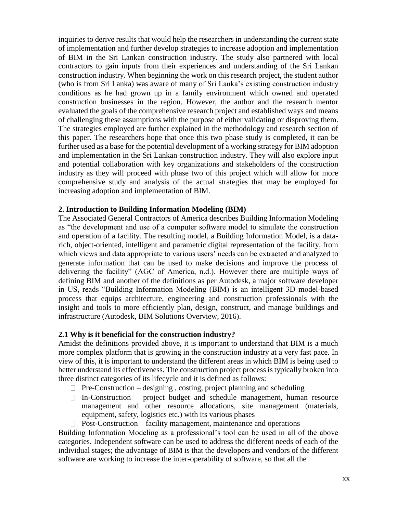inquiries to derive results that would help the researchers in understanding the current state of implementation and further develop strategies to increase adoption and implementation of BIM in the Sri Lankan construction industry. The study also partnered with local contractors to gain inputs from their experiences and understanding of the Sri Lankan construction industry. When beginning the work on this research project, the student author (who is from Sri Lanka) was aware of many of Sri Lanka's existing construction industry conditions as he had grown up in a family environment which owned and operated construction businesses in the region. However, the author and the research mentor evaluated the goals of the comprehensive research project and established ways and means of challenging these assumptions with the purpose of either validating or disproving them. The strategies employed are further explained in the methodology and research section of this paper. The researchers hope that once this two phase study is completed, it can be further used as a base for the potential development of a working strategy for BIM adoption and implementation in the Sri Lankan construction industry. They will also explore input and potential collaboration with key organizations and stakeholders of the construction industry as they will proceed with phase two of this project which will allow for more comprehensive study and analysis of the actual strategies that may be employed for increasing adoption and implementation of BIM.

## **2. Introduction to Building Information Modeling (BIM)**

The Associated General Contractors of America describes Building Information Modeling as "the development and use of a computer software model to simulate the construction and operation of a facility. The resulting model, a Building Information Model, is a datarich, object-oriented, intelligent and parametric digital representation of the facility, from which views and data appropriate to various users' needs can be extracted and analyzed to generate information that can be used to make decisions and improve the process of delivering the facility" (AGC of America, n.d.). However there are multiple ways of defining BIM and another of the definitions as per Autodesk, a major software developer in US, reads "Building Information Modeling (BIM) is an intelligent 3D model-based process that equips architecture, engineering and construction professionals with the insight and tools to more efficiently plan, design, construct, and manage buildings and infrastructure (Autodesk, BIM Solutions Overview, 2016).

### **2.1 Why is it beneficial for the construction industry?**

Amidst the definitions provided above, it is important to understand that BIM is a much more complex platform that is growing in the construction industry at a very fast pace. In view of this, it is important to understand the different areas in which BIM is being used to better understand its effectiveness. The construction project process is typically broken into three distinct categories of its lifecycle and it is defined as follows:

- $\Box$  Pre-Construction designing, costing, project planning and scheduling
- $\Box$  In-Construction project budget and schedule management, human resource management and other resource allocations, site management (materials, equipment, safety, logistics etc.) with its various phases
- $\Box$  Post-Construction facility management, maintenance and operations

Building Information Modeling as a professional's tool can be used in all of the above categories. Independent software can be used to address the different needs of each of the individual stages; the advantage of BIM is that the developers and vendors of the different software are working to increase the inter-operability of software, so that all the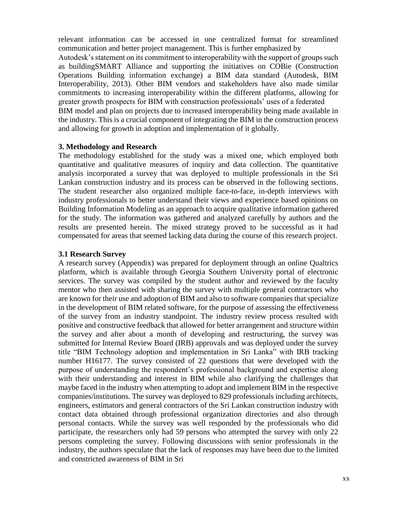relevant information can be accessed in one centralized format for streamlined communication and better project management. This is further emphasized by Autodesk's statement on its commitment to interoperability with the support of groups such as buildingSMART Alliance and supporting the initiatives on COBie (Construction Operations Building information exchange) a BIM data standard (Autodesk, BIM Interoperability, 2013). Other BIM vendors and stakeholders have also made similar commitments to increasing interoperability within the different platforms, allowing for greater growth prospects for BIM with construction professionals' uses of a federated BIM model and plan on projects due to increased interoperability being made available in the industry. This is a crucial component of integrating the BIM in the construction process and allowing for growth in adoption and implementation of it globally.

# **3. Methodology and Research**

The methodology established for the study was a mixed one, which employed both quantitative and qualitative measures of inquiry and data collection. The quantitative analysis incorporated a survey that was deployed to multiple professionals in the Sri Lankan construction industry and its process can be observed in the following sections. The student researcher also organized multiple face-to-face, in-depth interviews with industry professionals to better understand their views and experience based opinions on Building Information Modeling as an approach to acquire qualitative information gathered for the study. The information was gathered and analyzed carefully by authors and the results are presented herein. The mixed strategy proved to be successful as it had compensated for areas that seemed lacking data during the course of this research project.

# **3.1 Research Survey**

A research survey (Appendix) was prepared for deployment through an online Qualtrics platform, which is available through Georgia Southern University portal of electronic services. The survey was compiled by the student author and reviewed by the faculty mentor who then assisted with sharing the survey with multiple general contractors who are known for their use and adoption of BIM and also to software companies that specialize in the development of BIM related software, for the purpose of assessing the effectiveness of the survey from an industry standpoint. The industry review process resulted with positive and constructive feedback that allowed for better arrangement and structure within the survey and after about a month of developing and restructuring, the survey was submitted for Internal Review Board (IRB) approvals and was deployed under the survey title "BIM Technology adoption and implementation in Sri Lanka" with IRB tracking number H16177. The survey consisted of 22 questions that were developed with the purpose of understanding the respondent's professional background and expertise along with their understanding and interest in BIM while also clarifying the challenges that maybe faced in the industry when attempting to adopt and implement BIM in the respective companies/institutions. The survey was deployed to 829 professionals including architects, engineers, estimators and general contractors of the Sri Lankan construction industry with contact data obtained through professional organization directories and also through personal contacts. While the survey was well responded by the professionals who did participate, the researchers only had 59 persons who attempted the survey with only 22 persons completing the survey. Following discussions with senior professionals in the industry, the authors speculate that the lack of responses may have been due to the limited and constricted awareness of BIM in Sri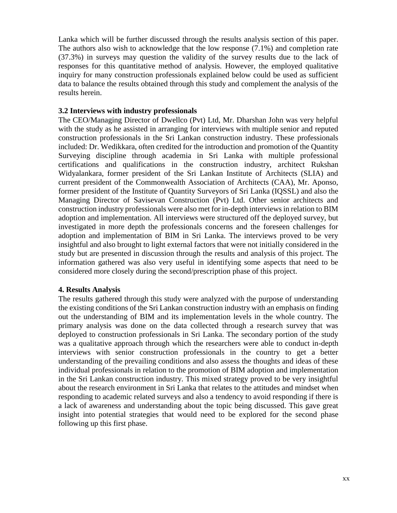Lanka which will be further discussed through the results analysis section of this paper. The authors also wish to acknowledge that the low response (7.1%) and completion rate (37.3%) in surveys may question the validity of the survey results due to the lack of responses for this quantitative method of analysis. However, the employed qualitative inquiry for many construction professionals explained below could be used as sufficient data to balance the results obtained through this study and complement the analysis of the results herein.

### **3.2 Interviews with industry professionals**

The CEO/Managing Director of Dwellco (Pvt) Ltd, Mr. Dharshan John was very helpful with the study as he assisted in arranging for interviews with multiple senior and reputed construction professionals in the Sri Lankan construction industry. These professionals included: Dr. Wedikkara, often credited for the introduction and promotion of the Quantity Surveying discipline through academia in Sri Lanka with multiple professional certifications and qualifications in the construction industry, architect Rukshan Widyalankara, former president of the Sri Lankan Institute of Architects (SLIA) and current president of the Commonwealth Association of Architects (CAA), Mr. Aponso, former president of the Institute of Quantity Surveyors of Sri Lanka (IQSSL) and also the Managing Director of Savisevan Construction (Pvt) Ltd. Other senior architects and construction industry professionals were also met for in-depth interviews in relation to BIM adoption and implementation. All interviews were structured off the deployed survey, but investigated in more depth the professionals concerns and the foreseen challenges for adoption and implementation of BIM in Sri Lanka. The interviews proved to be very insightful and also brought to light external factors that were not initially considered in the study but are presented in discussion through the results and analysis of this project. The information gathered was also very useful in identifying some aspects that need to be considered more closely during the second/prescription phase of this project.

### **4. Results Analysis**

The results gathered through this study were analyzed with the purpose of understanding the existing conditions of the Sri Lankan construction industry with an emphasis on finding out the understanding of BIM and its implementation levels in the whole country. The primary analysis was done on the data collected through a research survey that was deployed to construction professionals in Sri Lanka. The secondary portion of the study was a qualitative approach through which the researchers were able to conduct in-depth interviews with senior construction professionals in the country to get a better understanding of the prevailing conditions and also assess the thoughts and ideas of these individual professionals in relation to the promotion of BIM adoption and implementation in the Sri Lankan construction industry. This mixed strategy proved to be very insightful about the research environment in Sri Lanka that relates to the attitudes and mindset when responding to academic related surveys and also a tendency to avoid responding if there is a lack of awareness and understanding about the topic being discussed. This gave great insight into potential strategies that would need to be explored for the second phase following up this first phase.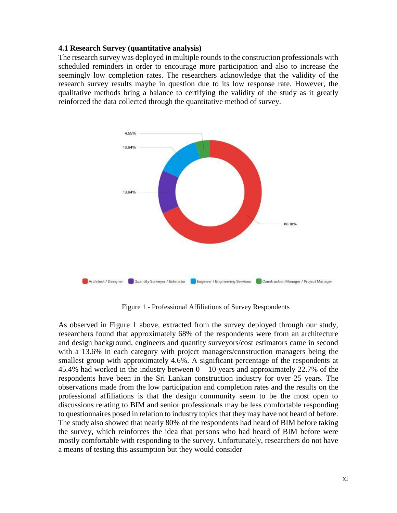## **4.1 Research Survey (quantitative analysis)**

The research survey was deployed in multiple rounds to the construction professionals with scheduled reminders in order to encourage more participation and also to increase the seemingly low completion rates. The researchers acknowledge that the validity of the research survey results maybe in question due to its low response rate. However, the qualitative methods bring a balance to certifying the validity of the study as it greatly reinforced the data collected through the quantitative method of survey.



Figure 1 - Professional Affiliations of Survey Respondents

As observed in Figure 1 above, extracted from the survey deployed through our study, researchers found that approximately 68% of the respondents were from an architecture and design background, engineers and quantity surveyors/cost estimators came in second with a 13.6% in each category with project managers/construction managers being the smallest group with approximately 4.6%. A significant percentage of the respondents at 45.4% had worked in the industry between  $0 - 10$  years and approximately 22.7% of the respondents have been in the Sri Lankan construction industry for over 25 years. The observations made from the low participation and completion rates and the results on the professional affiliations is that the design community seem to be the most open to discussions relating to BIM and senior professionals may be less comfortable responding to questionnaires posed in relation to industry topics that they may have not heard of before. The study also showed that nearly 80% of the respondents had heard of BIM before taking the survey, which reinforces the idea that persons who had heard of BIM before were mostly comfortable with responding to the survey. Unfortunately, researchers do not have a means of testing this assumption but they would consider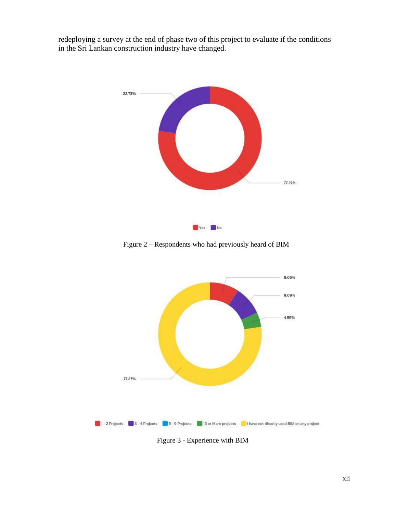redeploying a survey at the end of phase two of this project to evaluate if the conditions in the Sri Lankan construction industry have changed.



Figure 2 – Respondents who had previously heard of BIM



Figure 3 - Experience with BIM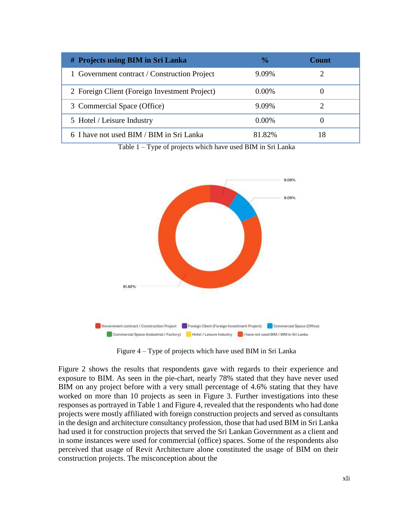| # Projects using BIM in Sri Lanka             | $\frac{0}{0}$ | <b>Count</b> |
|-----------------------------------------------|---------------|--------------|
| 1 Government contract / Construction Project  | 9.09%         |              |
| 2 Foreign Client (Foreign Investment Project) | $0.00\%$      |              |
| 3 Commercial Space (Office)                   | 9.09%         |              |
| 5 Hotel / Leisure Industry                    | $0.00\%$      |              |
| 6 I have not used BIM / BIM in Sri Lanka      | 81.82%        |              |

Table 1 – Type of projects which have used BIM in Sri Lanka



Figure 4 – Type of projects which have used BIM in Sri Lanka

Figure 2 shows the results that respondents gave with regards to their experience and exposure to BIM. As seen in the pie-chart, nearly 78% stated that they have never used BIM on any project before with a very small percentage of 4.6% stating that they have worked on more than 10 projects as seen in Figure 3. Further investigations into these responses as portrayed in Table 1 and Figure 4, revealed that the respondents who had done projects were mostly affiliated with foreign construction projects and served as consultants in the design and architecture consultancy profession, those that had used BIM in Sri Lanka had used it for construction projects that served the Sri Lankan Government as a client and in some instances were used for commercial (office) spaces. Some of the respondents also perceived that usage of Revit Architecture alone constituted the usage of BIM on their construction projects. The misconception about the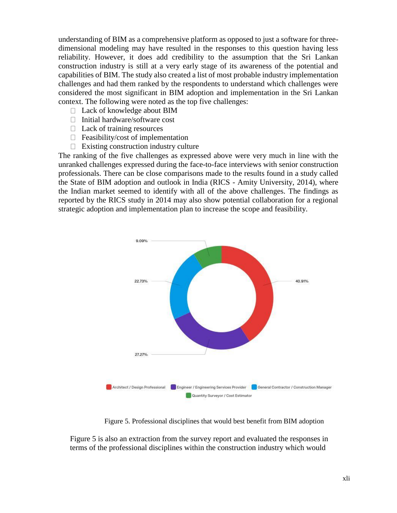understanding of BIM as a comprehensive platform as opposed to just a software for threedimensional modeling may have resulted in the responses to this question having less reliability. However, it does add credibility to the assumption that the Sri Lankan construction industry is still at a very early stage of its awareness of the potential and capabilities of BIM. The study also created a list of most probable industry implementation challenges and had them ranked by the respondents to understand which challenges were considered the most significant in BIM adoption and implementation in the Sri Lankan context. The following were noted as the top five challenges:

- □ Lack of knowledge about BIM
- $\Box$  Initial hardware/software cost
- $\Box$  Lack of training resources
- $\Box$  Feasibility/cost of implementation
- $\Box$  Existing construction industry culture

The ranking of the five challenges as expressed above were very much in line with the unranked challenges expressed during the face-to-face interviews with senior construction professionals. There can be close comparisons made to the results found in a study called the State of BIM adoption and outlook in India (RICS - Amity University, 2014), where the Indian market seemed to identify with all of the above challenges. The findings as reported by the RICS study in 2014 may also show potential collaboration for a regional strategic adoption and implementation plan to increase the scope and feasibility.



Figure 5. Professional disciplines that would best benefit from BIM adoption

Figure 5 is also an extraction from the survey report and evaluated the responses in terms of the professional disciplines within the construction industry which would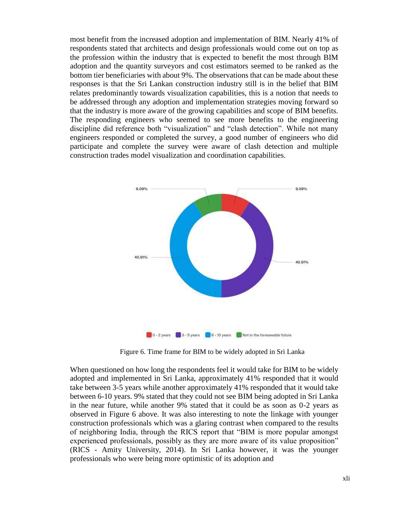most benefit from the increased adoption and implementation of BIM. Nearly 41% of respondents stated that architects and design professionals would come out on top as the profession within the industry that is expected to benefit the most through BIM adoption and the quantity surveyors and cost estimators seemed to be ranked as the bottom tier beneficiaries with about 9%. The observations that can be made about these responses is that the Sri Lankan construction industry still is in the belief that BIM relates predominantly towards visualization capabilities, this is a notion that needs to be addressed through any adoption and implementation strategies moving forward so that the industry is more aware of the growing capabilities and scope of BIM benefits. The responding engineers who seemed to see more benefits to the engineering discipline did reference both "visualization" and "clash detection". While not many engineers responded or completed the survey, a good number of engineers who did participate and complete the survey were aware of clash detection and multiple construction trades model visualization and coordination capabilities.



Figure 6. Time frame for BIM to be widely adopted in Sri Lanka

When questioned on how long the respondents feel it would take for BIM to be widely adopted and implemented in Sri Lanka, approximately 41% responded that it would take between 3-5 years while another approximately 41% responded that it would take between 6-10 years. 9% stated that they could not see BIM being adopted in Sri Lanka in the near future, while another 9% stated that it could be as soon as 0-2 years as observed in Figure 6 above. It was also interesting to note the linkage with younger construction professionals which was a glaring contrast when compared to the results of neighboring India, through the RICS report that "BIM is more popular amongst experienced professionals, possibly as they are more aware of its value proposition" (RICS - Amity University, 2014). In Sri Lanka however, it was the younger professionals who were being more optimistic of its adoption and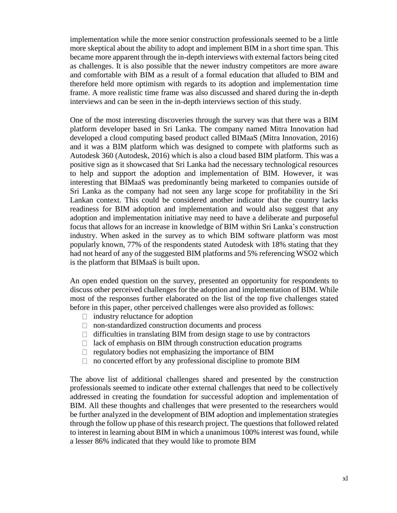implementation while the more senior construction professionals seemed to be a little more skeptical about the ability to adopt and implement BIM in a short time span. This became more apparent through the in-depth interviews with external factors being cited as challenges. It is also possible that the newer industry competitors are more aware and comfortable with BIM as a result of a formal education that alluded to BIM and therefore held more optimism with regards to its adoption and implementation time frame. A more realistic time frame was also discussed and shared during the in-depth interviews and can be seen in the in-depth interviews section of this study.

One of the most interesting discoveries through the survey was that there was a BIM platform developer based in Sri Lanka. The company named Mitra Innovation had developed a cloud computing based product called BIMaaS (Mitra Innovation, 2016) and it was a BIM platform which was designed to compete with platforms such as Autodesk 360 (Autodesk, 2016) which is also a cloud based BIM platform. This was a positive sign as it showcased that Sri Lanka had the necessary technological resources to help and support the adoption and implementation of BIM. However, it was interesting that BIMaaS was predominantly being marketed to companies outside of Sri Lanka as the company had not seen any large scope for profitability in the Sri Lankan context. This could be considered another indicator that the country lacks readiness for BIM adoption and implementation and would also suggest that any adoption and implementation initiative may need to have a deliberate and purposeful focus that allows for an increase in knowledge of BIM within Sri Lanka's construction industry. When asked in the survey as to which BIM software platform was most popularly known, 77% of the respondents stated Autodesk with 18% stating that they had not heard of any of the suggested BIM platforms and 5% referencing WSO2 which is the platform that BIMaaS is built upon.

An open ended question on the survey, presented an opportunity for respondents to discuss other perceived challenges for the adoption and implementation of BIM. While most of the responses further elaborated on the list of the top five challenges stated before in this paper, other perceived challenges were also provided as follows:

- $\Box$  industry reluctance for adoption
- □ non-standardized construction documents and process
- $\Box$  difficulties in translating BIM from design stage to use by contractors
- $\Box$  lack of emphasis on BIM through construction education programs
- $\Box$  regulatory bodies not emphasizing the importance of BIM
- $\Box$  no concerted effort by any professional discipline to promote BIM

The above list of additional challenges shared and presented by the construction professionals seemed to indicate other external challenges that need to be collectively addressed in creating the foundation for successful adoption and implementation of BIM. All these thoughts and challenges that were presented to the researchers would be further analyzed in the development of BIM adoption and implementation strategies through the follow up phase of this research project. The questions that followed related to interest in learning about BIM in which a unanimous 100% interest was found, while a lesser 86% indicated that they would like to promote BIM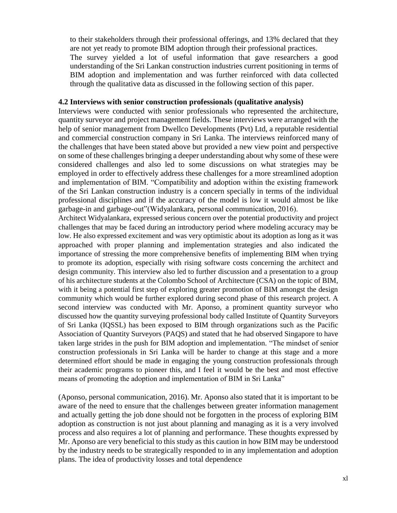to their stakeholders through their professional offerings, and 13% declared that they are not yet ready to promote BIM adoption through their professional practices. The survey yielded a lot of useful information that gave researchers a good understanding of the Sri Lankan construction industries current positioning in terms of BIM adoption and implementation and was further reinforced with data collected through the qualitative data as discussed in the following section of this paper.

#### **4.2 Interviews with senior construction professionals (qualitative analysis)**

Interviews were conducted with senior professionals who represented the architecture, quantity surveyor and project management fields. These interviews were arranged with the help of senior management from Dwellco Developments (Pvt) Ltd, a reputable residential and commercial construction company in Sri Lanka. The interviews reinforced many of the challenges that have been stated above but provided a new view point and perspective on some of these challenges bringing a deeper understanding about why some of these were considered challenges and also led to some discussions on what strategies may be employed in order to effectively address these challenges for a more streamlined adoption and implementation of BIM. "Compatibility and adoption within the existing framework of the Sri Lankan construction industry is a concern specially in terms of the individual professional disciplines and if the accuracy of the model is low it would almost be like garbage-in and garbage-out"(Widyalankara, personal communication, 2016).

Architect Widyalankara, expressed serious concern over the potential productivity and project challenges that may be faced during an introductory period where modeling accuracy may be low. He also expressed excitement and was very optimistic about its adoption as long as it was approached with proper planning and implementation strategies and also indicated the importance of stressing the more comprehensive benefits of implementing BIM when trying to promote its adoption, especially with rising software costs concerning the architect and design community. This interview also led to further discussion and a presentation to a group of his architecture students at the Colombo School of Architecture (CSA) on the topic of BIM, with it being a potential first step of exploring greater promotion of BIM amongst the design community which would be further explored during second phase of this research project. A second interview was conducted with Mr. Aponso, a prominent quantity surveyor who discussed how the quantity surveying professional body called Institute of Quantity Surveyors of Sri Lanka (IQSSL) has been exposed to BIM through organizations such as the Pacific Association of Quantity Surveyors (PAQS) and stated that he had observed Singapore to have taken large strides in the push for BIM adoption and implementation. "The mindset of senior construction professionals in Sri Lanka will be harder to change at this stage and a more determined effort should be made in engaging the young construction professionals through their academic programs to pioneer this, and I feel it would be the best and most effective means of promoting the adoption and implementation of BIM in Sri Lanka"

(Aponso, personal communication, 2016). Mr. Aponso also stated that it is important to be aware of the need to ensure that the challenges between greater information management and actually getting the job done should not be forgotten in the process of exploring BIM adoption as construction is not just about planning and managing as it is a very involved process and also requires a lot of planning and performance. These thoughts expressed by Mr. Aponso are very beneficial to this study as this caution in how BIM may be understood by the industry needs to be strategically responded to in any implementation and adoption plans. The idea of productivity losses and total dependence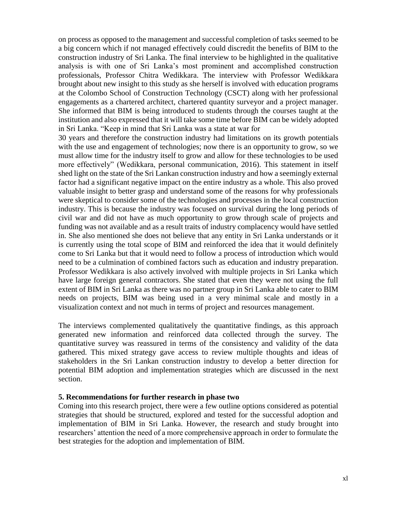on process as opposed to the management and successful completion of tasks seemed to be a big concern which if not managed effectively could discredit the benefits of BIM to the construction industry of Sri Lanka. The final interview to be highlighted in the qualitative analysis is with one of Sri Lanka's most prominent and accomplished construction professionals, Professor Chitra Wedikkara. The interview with Professor Wedikkara brought about new insight to this study as she herself is involved with education programs at the Colombo School of Construction Technology (CSCT) along with her professional engagements as a chartered architect, chartered quantity surveyor and a project manager. She informed that BIM is being introduced to students through the courses taught at the institution and also expressed that it will take some time before BIM can be widely adopted in Sri Lanka. "Keep in mind that Sri Lanka was a state at war for

30 years and therefore the construction industry had limitations on its growth potentials with the use and engagement of technologies; now there is an opportunity to grow, so we must allow time for the industry itself to grow and allow for these technologies to be used more effectively" (Wedikkara, personal communication, 2016). This statement in itself shed light on the state of the Sri Lankan construction industry and how a seemingly external factor had a significant negative impact on the entire industry as a whole. This also proved valuable insight to better grasp and understand some of the reasons for why professionals were skeptical to consider some of the technologies and processes in the local construction industry. This is because the industry was focused on survival during the long periods of civil war and did not have as much opportunity to grow through scale of projects and funding was not available and as a result traits of industry complacency would have settled in. She also mentioned she does not believe that any entity in Sri Lanka understands or it is currently using the total scope of BIM and reinforced the idea that it would definitely come to Sri Lanka but that it would need to follow a process of introduction which would need to be a culmination of combined factors such as education and industry preparation. Professor Wedikkara is also actively involved with multiple projects in Sri Lanka which have large foreign general contractors. She stated that even they were not using the full extent of BIM in Sri Lanka as there was no partner group in Sri Lanka able to cater to BIM needs on projects, BIM was being used in a very minimal scale and mostly in a visualization context and not much in terms of project and resources management.

The interviews complemented qualitatively the quantitative findings, as this approach generated new information and reinforced data collected through the survey. The quantitative survey was reassured in terms of the consistency and validity of the data gathered. This mixed strategy gave access to review multiple thoughts and ideas of stakeholders in the Sri Lankan construction industry to develop a better direction for potential BIM adoption and implementation strategies which are discussed in the next section.

### **5. Recommendations for further research in phase two**

Coming into this research project, there were a few outline options considered as potential strategies that should be structured, explored and tested for the successful adoption and implementation of BIM in Sri Lanka. However, the research and study brought into researchers' attention the need of a more comprehensive approach in order to formulate the best strategies for the adoption and implementation of BIM.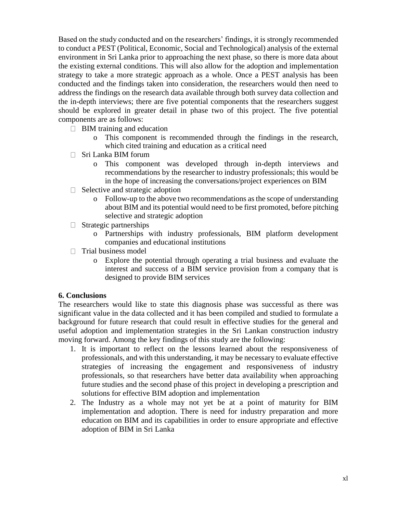Based on the study conducted and on the researchers' findings, it is strongly recommended to conduct a PEST (Political, Economic, Social and Technological) analysis of the external environment in Sri Lanka prior to approaching the next phase, so there is more data about the existing external conditions. This will also allow for the adoption and implementation strategy to take a more strategic approach as a whole. Once a PEST analysis has been conducted and the findings taken into consideration, the researchers would then need to address the findings on the research data available through both survey data collection and the in-depth interviews; there are five potential components that the researchers suggest should be explored in greater detail in phase two of this project. The five potential components are as follows:

- $\Box$  BIM training and education
	- o This component is recommended through the findings in the research, which cited training and education as a critical need
- □ Sri Lanka BIM forum
	- o This component was developed through in-depth interviews and recommendations by the researcher to industry professionals; this would be in the hope of increasing the conversations/project experiences on BIM
- $\Box$  Selective and strategic adoption
	- o Follow-up to the above two recommendations as the scope of understanding about BIM and its potential would need to be first promoted, before pitching selective and strategic adoption
- $\Box$  Strategic partnerships
	- o Partnerships with industry professionals, BIM platform development companies and educational institutions
- $\Box$  Trial business model
	- o Explore the potential through operating a trial business and evaluate the interest and success of a BIM service provision from a company that is designed to provide BIM services

# **6. Conclusions**

The researchers would like to state this diagnosis phase was successful as there was significant value in the data collected and it has been compiled and studied to formulate a background for future research that could result in effective studies for the general and useful adoption and implementation strategies in the Sri Lankan construction industry moving forward. Among the key findings of this study are the following:

- 1. It is important to reflect on the lessons learned about the responsiveness of professionals, and with this understanding, it may be necessary to evaluate effective strategies of increasing the engagement and responsiveness of industry professionals, so that researchers have better data availability when approaching future studies and the second phase of this project in developing a prescription and solutions for effective BIM adoption and implementation
- 2. The Industry as a whole may not yet be at a point of maturity for BIM implementation and adoption. There is need for industry preparation and more education on BIM and its capabilities in order to ensure appropriate and effective adoption of BIM in Sri Lanka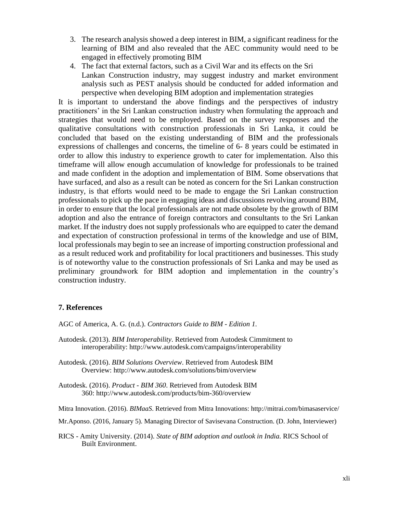- 3. The research analysis showed a deep interest in BIM, a significant readiness for the learning of BIM and also revealed that the AEC community would need to be engaged in effectively promoting BIM
- 4. The fact that external factors, such as a Civil War and its effects on the Sri Lankan Construction industry, may suggest industry and market environment analysis such as PEST analysis should be conducted for added information and perspective when developing BIM adoption and implementation strategies

It is important to understand the above findings and the perspectives of industry practitioners' in the Sri Lankan construction industry when formulating the approach and strategies that would need to be employed. Based on the survey responses and the qualitative consultations with construction professionals in Sri Lanka, it could be concluded that based on the existing understanding of BIM and the professionals expressions of challenges and concerns, the timeline of 6- 8 years could be estimated in order to allow this industry to experience growth to cater for implementation. Also this timeframe will allow enough accumulation of knowledge for professionals to be trained and made confident in the adoption and implementation of BIM. Some observations that have surfaced, and also as a result can be noted as concern for the Sri Lankan construction industry, is that efforts would need to be made to engage the Sri Lankan construction professionals to pick up the pace in engaging ideas and discussions revolving around BIM, in order to ensure that the local professionals are not made obsolete by the growth of BIM adoption and also the entrance of foreign contractors and consultants to the Sri Lankan market. If the industry does not supply professionals who are equipped to cater the demand and expectation of construction professional in terms of the knowledge and use of BIM, local professionals may begin to see an increase of importing construction professional and as a result reduced work and profitability for local practitioners and businesses. This study is of noteworthy value to the construction professionals of Sri Lanka and may be used as preliminary groundwork for BIM adoption and implementation in the country's construction industry.

# **7. References**

AGC of America, A. G. (n.d.). *Contractors Guide to BIM - Edition 1.*

Autodesk. (2013). *BIM Interoperability*. Retrieved from Autodesk Cimmitment to interoperability: http://www.autodesk.com/campaigns/interoperability

Autodesk. (2016). *BIM Solutions Overview*. Retrieved from Autodesk BIM Overview: http://www.autodesk.com/solutions/bim/overview

Autodesk. (2016). *Product - BIM 360*. Retrieved from Autodesk BIM 360: http://www.autodesk.com/products/bim-360/overview

Mitra Innovation. (2016). *BIMaaS*. Retrieved from Mitra Innovations: http://mitrai.com/bimasaservice/

Mr.Aponso. (2016, January 5). Managing Director of Savisevana Construction. (D. John, Interviewer)

RICS - Amity University. (2014). *State of BIM adoption and outlook in India.* RICS School of Built Environment.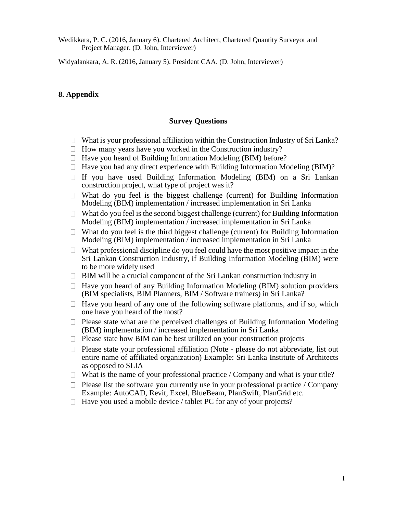Wedikkara, P. C. (2016, January 6). Chartered Architect, Chartered Quantity Surveyor and Project Manager. (D. John, Interviewer)

Widyalankara, A. R. (2016, January 5). President CAA. (D. John, Interviewer)

## **8. Appendix**

#### **Survey Questions**

- $\Box$  What is your professional affiliation within the Construction Industry of Sri Lanka?
- $\Box$  How many years have you worked in the Construction industry?
- $\Box$  Have you heard of Building Information Modeling (BIM) before?
- $\Box$  Have you had any direct experience with Building Information Modeling (BIM)?
- $\Box$  If you have used Building Information Modeling (BIM) on a Sri Lankan construction project, what type of project was it?
- $\Box$  What do you feel is the biggest challenge (current) for Building Information Modeling (BIM) implementation / increased implementation in Sri Lanka
- $\Box$  What do you feel is the second biggest challenge (current) for Building Information Modeling (BIM) implementation / increased implementation in Sri Lanka
- $\Box$  What do you feel is the third biggest challenge (current) for Building Information Modeling (BIM) implementation / increased implementation in Sri Lanka
- $\Box$  What professional discipline do you feel could have the most positive impact in the Sri Lankan Construction Industry, if Building Information Modeling (BIM) were to be more widely used
- $\Box$  BIM will be a crucial component of the Sri Lankan construction industry in
- $\Box$  Have you heard of any Building Information Modeling (BIM) solution providers (BIM specialists, BIM Planners, BIM / Software trainers) in Sri Lanka?
- $\Box$  Have you heard of any one of the following software platforms, and if so, which one have you heard of the most?
- $\Box$  Please state what are the perceived challenges of Building Information Modeling (BIM) implementation / increased implementation in Sri Lanka
- $\Box$  Please state how BIM can be best utilized on your construction projects
- $\Box$  Please state your professional affiliation (Note please do not abbreviate, list out entire name of affiliated organization) Example: Sri Lanka Institute of Architects as opposed to SLIA
- $\Box$  What is the name of your professional practice / Company and what is your title?
- $\Box$  Please list the software you currently use in your professional practice / Company Example: AutoCAD, Revit, Excel, BlueBeam, PlanSwift, PlanGrid etc.
- $\Box$  Have you used a mobile device / tablet PC for any of your projects?